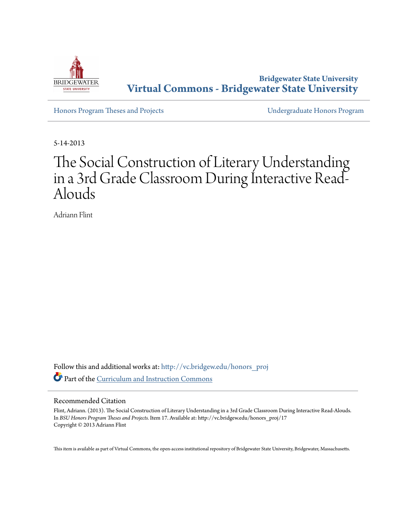

**Bridgewater State University [Virtual Commons - Bridgewater State University](http://vc.bridgew.edu?utm_source=vc.bridgew.edu%2Fhonors_proj%2F17&utm_medium=PDF&utm_campaign=PDFCoverPages)**

[Honors Program Theses and Projects](http://vc.bridgew.edu/honors_proj?utm_source=vc.bridgew.edu%2Fhonors_proj%2F17&utm_medium=PDF&utm_campaign=PDFCoverPages) [Undergraduate Honors Program](http://vc.bridgew.edu/honors?utm_source=vc.bridgew.edu%2Fhonors_proj%2F17&utm_medium=PDF&utm_campaign=PDFCoverPages)

5-14-2013

# The Social Construction of Literary Understanding in a 3rd Grade Classroom During Interactive Read-Alouds

Adriann Flint

Follow this and additional works at: [http://vc.bridgew.edu/honors\\_proj](http://vc.bridgew.edu/honors_proj?utm_source=vc.bridgew.edu%2Fhonors_proj%2F17&utm_medium=PDF&utm_campaign=PDFCoverPages) Part of the [Curriculum and Instruction Commons](http://network.bepress.com/hgg/discipline/786?utm_source=vc.bridgew.edu%2Fhonors_proj%2F17&utm_medium=PDF&utm_campaign=PDFCoverPages)

#### Recommended Citation

Flint, Adriann. (2013). The Social Construction of Literary Understanding in a 3rd Grade Classroom During Interactive Read-Alouds. In *BSU Honors Program Theses and Projects.* Item 17. Available at: http://vc.bridgew.edu/honors\_proj/17 Copyright © 2013 Adriann Flint

This item is available as part of Virtual Commons, the open-access institutional repository of Bridgewater State University, Bridgewater, Massachusetts.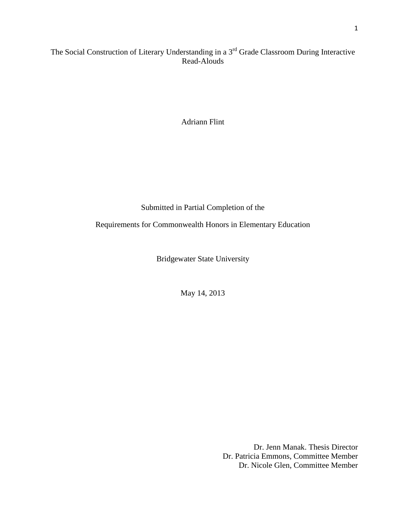# The Social Construction of Literary Understanding in a 3<sup>rd</sup> Grade Classroom During Interactive Read-Alouds

Adriann Flint

Submitted in Partial Completion of the

Requirements for Commonwealth Honors in Elementary Education

Bridgewater State University

May 14, 2013

Dr. Jenn Manak. Thesis Director Dr. Patricia Emmons, Committee Member Dr. Nicole Glen, Committee Member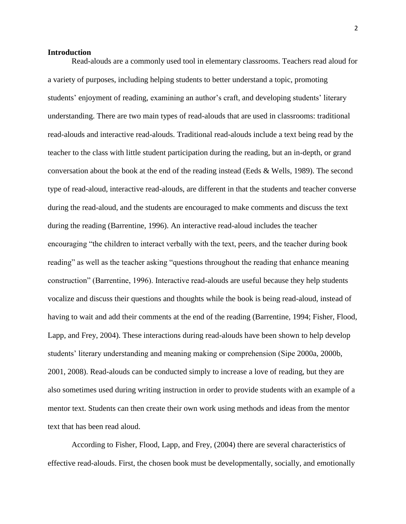#### **Introduction**

Read-alouds are a commonly used tool in elementary classrooms. Teachers read aloud for a variety of purposes, including helping students to better understand a topic, promoting students' enjoyment of reading, examining an author's craft, and developing students' literary understanding. There are two main types of read-alouds that are used in classrooms: traditional read-alouds and interactive read-alouds. Traditional read-alouds include a text being read by the teacher to the class with little student participation during the reading, but an in-depth, or grand conversation about the book at the end of the reading instead (Eeds & Wells, 1989). The second type of read-aloud, interactive read-alouds, are different in that the students and teacher converse during the read-aloud, and the students are encouraged to make comments and discuss the text during the reading (Barrentine, 1996). An interactive read-aloud includes the teacher encouraging "the children to interact verbally with the text, peers, and the teacher during book reading" as well as the teacher asking "questions throughout the reading that enhance meaning construction" (Barrentine, 1996). Interactive read-alouds are useful because they help students vocalize and discuss their questions and thoughts while the book is being read-aloud, instead of having to wait and add their comments at the end of the reading (Barrentine, 1994; Fisher, Flood, Lapp, and Frey, 2004). These interactions during read-alouds have been shown to help develop students' literary understanding and meaning making or comprehension (Sipe 2000a, 2000b, 2001, 2008). Read-alouds can be conducted simply to increase a love of reading, but they are also sometimes used during writing instruction in order to provide students with an example of a mentor text. Students can then create their own work using methods and ideas from the mentor text that has been read aloud.

According to Fisher, Flood, Lapp, and Frey, (2004) there are several characteristics of effective read-alouds. First, the chosen book must be developmentally, socially, and emotionally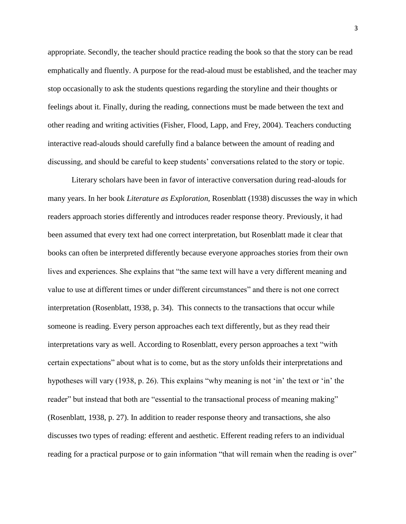appropriate. Secondly, the teacher should practice reading the book so that the story can be read emphatically and fluently. A purpose for the read-aloud must be established, and the teacher may stop occasionally to ask the students questions regarding the storyline and their thoughts or feelings about it. Finally, during the reading, connections must be made between the text and other reading and writing activities (Fisher, Flood, Lapp, and Frey, 2004). Teachers conducting interactive read-alouds should carefully find a balance between the amount of reading and discussing, and should be careful to keep students' conversations related to the story or topic.

Literary scholars have been in favor of interactive conversation during read-alouds for many years. In her book *Literature as Exploration*, Rosenblatt (1938) discusses the way in which readers approach stories differently and introduces reader response theory. Previously, it had been assumed that every text had one correct interpretation, but Rosenblatt made it clear that books can often be interpreted differently because everyone approaches stories from their own lives and experiences. She explains that "the same text will have a very different meaning and value to use at different times or under different circumstances" and there is not one correct interpretation (Rosenblatt, 1938, p. 34). This connects to the transactions that occur while someone is reading. Every person approaches each text differently, but as they read their interpretations vary as well. According to Rosenblatt, every person approaches a text "with certain expectations" about what is to come, but as the story unfolds their interpretations and hypotheses will vary (1938, p. 26). This explains "why meaning is not 'in' the text or 'in' the reader" but instead that both are "essential to the transactional process of meaning making" (Rosenblatt, 1938, p. 27). In addition to reader response theory and transactions, she also discusses two types of reading: efferent and aesthetic. Efferent reading refers to an individual reading for a practical purpose or to gain information "that will remain when the reading is over"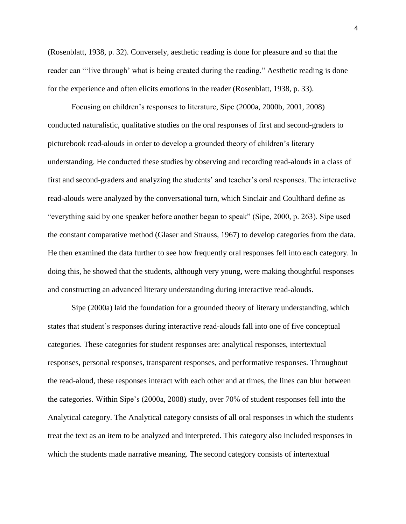(Rosenblatt, 1938, p. 32). Conversely, aesthetic reading is done for pleasure and so that the reader can "'live through' what is being created during the reading." Aesthetic reading is done for the experience and often elicits emotions in the reader (Rosenblatt, 1938, p. 33).

Focusing on children's responses to literature, Sipe (2000a, 2000b, 2001, 2008) conducted naturalistic, qualitative studies on the oral responses of first and second-graders to picturebook read-alouds in order to develop a grounded theory of children's literary understanding. He conducted these studies by observing and recording read-alouds in a class of first and second-graders and analyzing the students' and teacher's oral responses. The interactive read-alouds were analyzed by the conversational turn, which Sinclair and Coulthard define as "everything said by one speaker before another began to speak" (Sipe, 2000, p. 263). Sipe used the constant comparative method (Glaser and Strauss, 1967) to develop categories from the data. He then examined the data further to see how frequently oral responses fell into each category. In doing this, he showed that the students, although very young, were making thoughtful responses and constructing an advanced literary understanding during interactive read-alouds.

Sipe (2000a) laid the foundation for a grounded theory of literary understanding, which states that student's responses during interactive read-alouds fall into one of five conceptual categories. These categories for student responses are: analytical responses, intertextual responses, personal responses, transparent responses, and performative responses. Throughout the read-aloud, these responses interact with each other and at times, the lines can blur between the categories. Within Sipe's (2000a, 2008) study, over 70% of student responses fell into the Analytical category. The Analytical category consists of all oral responses in which the students treat the text as an item to be analyzed and interpreted. This category also included responses in which the students made narrative meaning. The second category consists of intertextual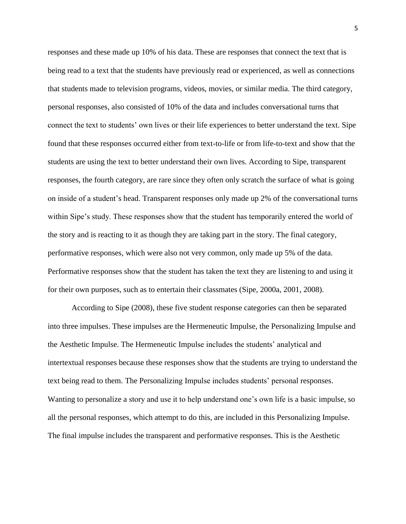responses and these made up 10% of his data. These are responses that connect the text that is being read to a text that the students have previously read or experienced, as well as connections that students made to television programs, videos, movies, or similar media. The third category, personal responses, also consisted of 10% of the data and includes conversational turns that connect the text to students' own lives or their life experiences to better understand the text. Sipe found that these responses occurred either from text-to-life or from life-to-text and show that the students are using the text to better understand their own lives. According to Sipe, transparent responses, the fourth category, are rare since they often only scratch the surface of what is going on inside of a student's head. Transparent responses only made up 2% of the conversational turns within Sipe's study. These responses show that the student has temporarily entered the world of the story and is reacting to it as though they are taking part in the story. The final category, performative responses, which were also not very common, only made up 5% of the data. Performative responses show that the student has taken the text they are listening to and using it for their own purposes, such as to entertain their classmates (Sipe, 2000a, 2001, 2008).

According to Sipe (2008), these five student response categories can then be separated into three impulses. These impulses are the Hermeneutic Impulse, the Personalizing Impulse and the Aesthetic Impulse. The Hermeneutic Impulse includes the students' analytical and intertextual responses because these responses show that the students are trying to understand the text being read to them. The Personalizing Impulse includes students' personal responses. Wanting to personalize a story and use it to help understand one's own life is a basic impulse, so all the personal responses, which attempt to do this, are included in this Personalizing Impulse. The final impulse includes the transparent and performative responses. This is the Aesthetic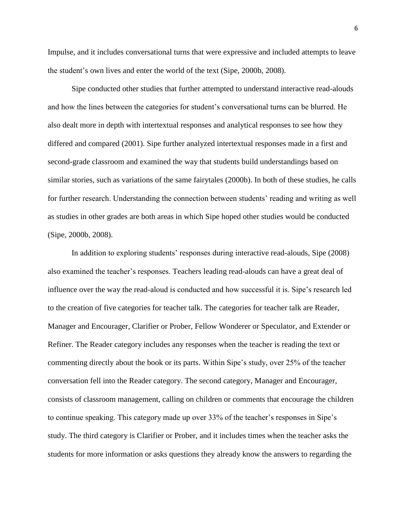Impulse, and it includes conversational turns that were expressive and included attempts to leave the student's own lives and enter the world of the text (Sipe, 2000b, 2008).

Sipe conducted other studies that further attempted to understand interactive read-alouds and how the lines between the categories for student's conversational turns can be blurred. He also dealt more in depth with intertextual responses and analytical responses to see how they differed and compared (2001). Sipe further analyzed intertextual responses made in a first and second-grade classroom and examined the way that students build understandings based on similar stories, such as variations of the same fairytales (2000b). In both of these studies, he calls for further research. Understanding the connection between students' reading and writing as well as studies in other grades are both areas in which Sipe hoped other studies would be conducted (Sipe, 2000b, 2008).

In addition to exploring students' responses during interactive read-alouds, Sipe (2008) also examined the teacher's responses. Teachers leading read-alouds can have a great deal of influence over the way the read-aloud is conducted and how successful it is. Sipe's research led to the creation of five categories for teacher talk. The categories for teacher talk are Reader, Manager and Encourager, Clarifier or Prober, Fellow Wonderer or Speculator, and Extender or Refiner. The Reader category includes any responses when the teacher is reading the text or commenting directly about the book or its parts. Within Sipe's study, over 25% of the teacher conversation fell into the Reader category. The second category, Manager and Encourager, consists of classroom management, calling on children or comments that encourage the children to continue speaking. This category made up over 33% of the teacher's responses in Sipe's study. The third category is Clarifier or Prober, and it includes times when the teacher asks the students for more information or asks questions they already know the answers to regarding the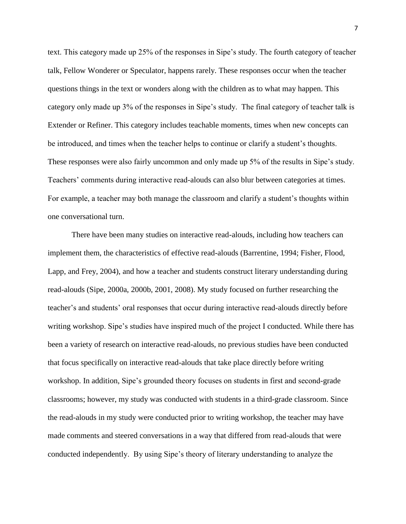text. This category made up 25% of the responses in Sipe's study. The fourth category of teacher talk, Fellow Wonderer or Speculator, happens rarely. These responses occur when the teacher questions things in the text or wonders along with the children as to what may happen. This category only made up 3% of the responses in Sipe's study. The final category of teacher talk is Extender or Refiner. This category includes teachable moments, times when new concepts can be introduced, and times when the teacher helps to continue or clarify a student's thoughts. These responses were also fairly uncommon and only made up 5% of the results in Sipe's study. Teachers' comments during interactive read-alouds can also blur between categories at times. For example, a teacher may both manage the classroom and clarify a student's thoughts within one conversational turn.

There have been many studies on interactive read-alouds, including how teachers can implement them, the characteristics of effective read-alouds (Barrentine, 1994; Fisher, Flood, Lapp, and Frey, 2004), and how a teacher and students construct literary understanding during read-alouds (Sipe, 2000a, 2000b, 2001, 2008). My study focused on further researching the teacher's and students' oral responses that occur during interactive read-alouds directly before writing workshop. Sipe's studies have inspired much of the project I conducted. While there has been a variety of research on interactive read-alouds, no previous studies have been conducted that focus specifically on interactive read-alouds that take place directly before writing workshop. In addition, Sipe's grounded theory focuses on students in first and second-grade classrooms; however, my study was conducted with students in a third-grade classroom. Since the read-alouds in my study were conducted prior to writing workshop, the teacher may have made comments and steered conversations in a way that differed from read-alouds that were conducted independently. By using Sipe's theory of literary understanding to analyze the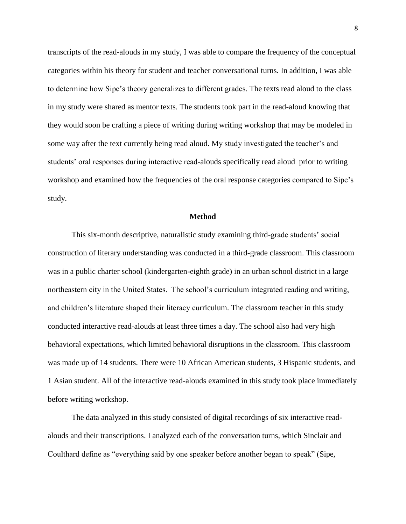transcripts of the read-alouds in my study, I was able to compare the frequency of the conceptual categories within his theory for student and teacher conversational turns. In addition, I was able to determine how Sipe's theory generalizes to different grades. The texts read aloud to the class in my study were shared as mentor texts. The students took part in the read-aloud knowing that they would soon be crafting a piece of writing during writing workshop that may be modeled in some way after the text currently being read aloud. My study investigated the teacher's and students' oral responses during interactive read-alouds specifically read aloud prior to writing workshop and examined how the frequencies of the oral response categories compared to Sipe's study.

#### **Method**

This six-month descriptive, naturalistic study examining third-grade students' social construction of literary understanding was conducted in a third-grade classroom. This classroom was in a public charter school (kindergarten-eighth grade) in an urban school district in a large northeastern city in the United States. The school's curriculum integrated reading and writing, and children's literature shaped their literacy curriculum. The classroom teacher in this study conducted interactive read-alouds at least three times a day. The school also had very high behavioral expectations, which limited behavioral disruptions in the classroom. This classroom was made up of 14 students. There were 10 African American students, 3 Hispanic students, and 1 Asian student. All of the interactive read-alouds examined in this study took place immediately before writing workshop.

The data analyzed in this study consisted of digital recordings of six interactive readalouds and their transcriptions. I analyzed each of the conversation turns, which Sinclair and Coulthard define as "everything said by one speaker before another began to speak" (Sipe,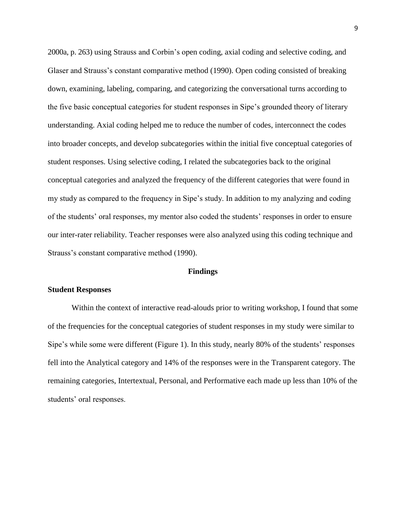2000a, p. 263) using Strauss and Corbin's open coding, axial coding and selective coding, and Glaser and Strauss's constant comparative method (1990). Open coding consisted of breaking down, examining, labeling, comparing, and categorizing the conversational turns according to the five basic conceptual categories for student responses in Sipe's grounded theory of literary understanding. Axial coding helped me to reduce the number of codes, interconnect the codes into broader concepts, and develop subcategories within the initial five conceptual categories of student responses. Using selective coding, I related the subcategories back to the original conceptual categories and analyzed the frequency of the different categories that were found in my study as compared to the frequency in Sipe's study. In addition to my analyzing and coding of the students' oral responses, my mentor also coded the students' responses in order to ensure our inter-rater reliability. Teacher responses were also analyzed using this coding technique and Strauss's constant comparative method (1990).

#### **Findings**

#### **Student Responses**

Within the context of interactive read-alouds prior to writing workshop, I found that some of the frequencies for the conceptual categories of student responses in my study were similar to Sipe's while some were different (Figure 1). In this study, nearly 80% of the students' responses fell into the Analytical category and 14% of the responses were in the Transparent category. The remaining categories, Intertextual, Personal, and Performative each made up less than 10% of the students' oral responses.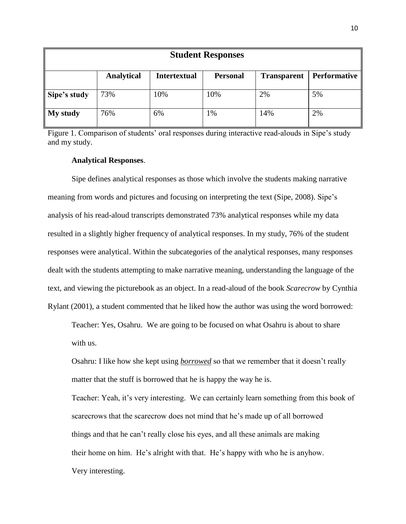| <b>Student Responses</b> |                   |                     |                 |                    |                     |  |  |  |
|--------------------------|-------------------|---------------------|-----------------|--------------------|---------------------|--|--|--|
|                          | <b>Analytical</b> | <b>Intertextual</b> | <b>Personal</b> | <b>Transparent</b> | <b>Performative</b> |  |  |  |
| Sipe's study             | 73%               | 10%                 | 10%             | 2%                 | 5%                  |  |  |  |
| My study                 | 76%               | 6%                  | 1%              | 14%                | 2%                  |  |  |  |

Figure 1. Comparison of students' oral responses during interactive read-alouds in Sipe's study and my study.

# **Analytical Responses**.

Sipe defines analytical responses as those which involve the students making narrative meaning from words and pictures and focusing on interpreting the text (Sipe, 2008). Sipe's analysis of his read-aloud transcripts demonstrated 73% analytical responses while my data resulted in a slightly higher frequency of analytical responses. In my study, 76% of the student responses were analytical. Within the subcategories of the analytical responses, many responses dealt with the students attempting to make narrative meaning, understanding the language of the text, and viewing the picturebook as an object. In a read-aloud of the book *Scarecrow* by Cynthia Rylant (2001), a student commented that he liked how the author was using the word borrowed:

Teacher: Yes, Osahru. We are going to be focused on what Osahru is about to share with us.

Osahru: I like how she kept using *borrowed* so that we remember that it doesn't really matter that the stuff is borrowed that he is happy the way he is.

Teacher: Yeah, it's very interesting. We can certainly learn something from this book of scarecrows that the scarecrow does not mind that he's made up of all borrowed things and that he can't really close his eyes, and all these animals are making their home on him. He's alright with that. He's happy with who he is anyhow. Very interesting.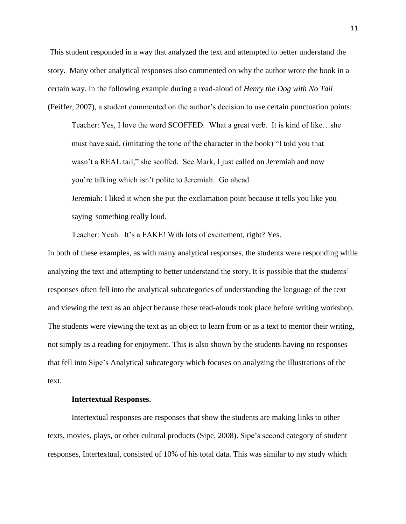This student responded in a way that analyzed the text and attempted to better understand the story. Many other analytical responses also commented on why the author wrote the book in a certain way. In the following example during a read-aloud of *Henry the Dog with No Tail* (Feiffer, 2007), a student commented on the author's decision to use certain punctuation points:

Teacher: Yes, I love the word SCOFFED. What a great verb. It is kind of like…she must have said, (imitating the tone of the character in the book) "I told you that wasn't a REAL tail," she scoffed. See Mark, I just called on Jeremiah and now you're talking which isn't polite to Jeremiah. Go ahead.

Jeremiah: I liked it when she put the exclamation point because it tells you like you saying something really loud.

Teacher: Yeah. It's a FAKE! With lots of excitement, right? Yes.

In both of these examples, as with many analytical responses, the students were responding while analyzing the text and attempting to better understand the story. It is possible that the students' responses often fell into the analytical subcategories of understanding the language of the text and viewing the text as an object because these read-alouds took place before writing workshop. The students were viewing the text as an object to learn from or as a text to mentor their writing, not simply as a reading for enjoyment. This is also shown by the students having no responses that fell into Sipe's Analytical subcategory which focuses on analyzing the illustrations of the text.

## **Intertextual Responses.**

Intertextual responses are responses that show the students are making links to other texts, movies, plays, or other cultural products (Sipe, 2008). Sipe's second category of student responses, Intertextual, consisted of 10% of his total data. This was similar to my study which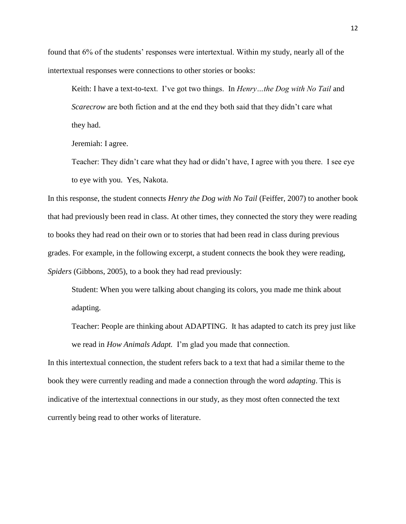found that 6% of the students' responses were intertextual. Within my study, nearly all of the intertextual responses were connections to other stories or books:

Keith: I have a text-to-text. I've got two things. In *Henry…the Dog with No Tail* and *Scarecrow* are both fiction and at the end they both said that they didn't care what they had.

Jeremiah: I agree.

Teacher: They didn't care what they had or didn't have, I agree with you there. I see eye to eye with you. Yes, Nakota.

In this response, the student connects *Henry the Dog with No Tail* (Feiffer, 2007) to another book that had previously been read in class. At other times, they connected the story they were reading to books they had read on their own or to stories that had been read in class during previous grades. For example, in the following excerpt, a student connects the book they were reading, *Spiders* (Gibbons, 2005), to a book they had read previously:

Student: When you were talking about changing its colors, you made me think about adapting.

Teacher: People are thinking about ADAPTING. It has adapted to catch its prey just like we read in *How Animals Adapt.* I'm glad you made that connection.

In this intertextual connection, the student refers back to a text that had a similar theme to the book they were currently reading and made a connection through the word *adapting*. This is indicative of the intertextual connections in our study, as they most often connected the text currently being read to other works of literature.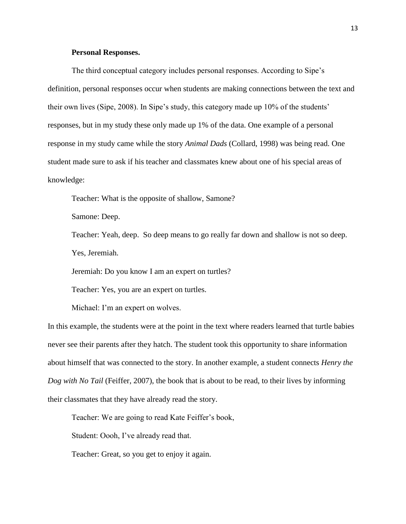# **Personal Responses.**

The third conceptual category includes personal responses. According to Sipe's definition, personal responses occur when students are making connections between the text and their own lives (Sipe, 2008). In Sipe's study, this category made up 10% of the students' responses, but in my study these only made up 1% of the data. One example of a personal response in my study came while the story *Animal Dads* (Collard, 1998) was being read. One student made sure to ask if his teacher and classmates knew about one of his special areas of knowledge:

Teacher: What is the opposite of shallow, Samone?

Samone: Deep.

Teacher: Yeah, deep. So deep means to go really far down and shallow is not so deep. Yes, Jeremiah.

Jeremiah: Do you know I am an expert on turtles?

Teacher: Yes, you are an expert on turtles.

Michael: I'm an expert on wolves.

In this example, the students were at the point in the text where readers learned that turtle babies never see their parents after they hatch. The student took this opportunity to share information about himself that was connected to the story. In another example, a student connects *Henry the Dog with No Tail* (Feiffer, 2007), the book that is about to be read, to their lives by informing their classmates that they have already read the story.

Teacher: We are going to read Kate Feiffer's book,

Student: Oooh, I've already read that.

Teacher: Great, so you get to enjoy it again.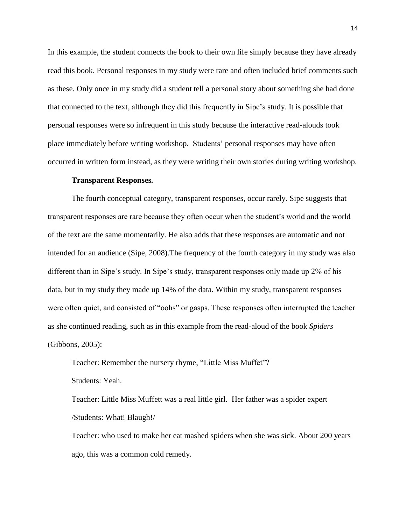In this example, the student connects the book to their own life simply because they have already read this book. Personal responses in my study were rare and often included brief comments such as these. Only once in my study did a student tell a personal story about something she had done that connected to the text, although they did this frequently in Sipe's study. It is possible that personal responses were so infrequent in this study because the interactive read-alouds took place immediately before writing workshop. Students' personal responses may have often occurred in written form instead, as they were writing their own stories during writing workshop.

#### **Transparent Responses***.*

The fourth conceptual category, transparent responses, occur rarely. Sipe suggests that transparent responses are rare because they often occur when the student's world and the world of the text are the same momentarily. He also adds that these responses are automatic and not intended for an audience (Sipe, 2008).The frequency of the fourth category in my study was also different than in Sipe's study. In Sipe's study, transparent responses only made up 2% of his data, but in my study they made up 14% of the data. Within my study, transparent responses were often quiet, and consisted of "oohs" or gasps. These responses often interrupted the teacher as she continued reading, such as in this example from the read-aloud of the book *Spiders* (Gibbons, 2005):

Teacher: Remember the nursery rhyme, "Little Miss Muffet"?

Students: Yeah.

Teacher: Little Miss Muffett was a real little girl. Her father was a spider expert /Students: What! Blaugh!/

Teacher: who used to make her eat mashed spiders when she was sick. About 200 years ago, this was a common cold remedy.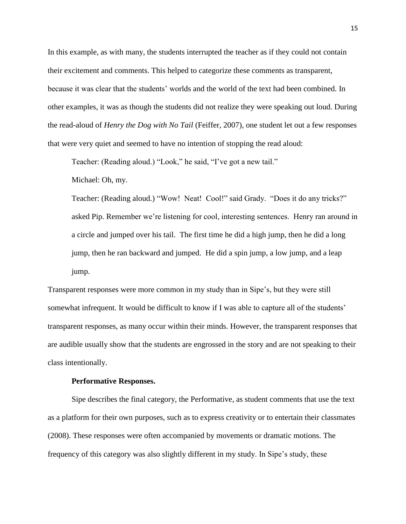In this example, as with many, the students interrupted the teacher as if they could not contain their excitement and comments. This helped to categorize these comments as transparent, because it was clear that the students' worlds and the world of the text had been combined. In other examples, it was as though the students did not realize they were speaking out loud. During the read-aloud of *Henry the Dog with No Tail* (Feiffer, 2007), one student let out a few responses that were very quiet and seemed to have no intention of stopping the read aloud:

Teacher: (Reading aloud.) "Look," he said, "I've got a new tail."

Michael: Oh, my.

Teacher: (Reading aloud.) "Wow! Neat! Cool!" said Grady. "Does it do any tricks?" asked Pip. Remember we're listening for cool, interesting sentences. Henry ran around in a circle and jumped over his tail. The first time he did a high jump, then he did a long jump, then he ran backward and jumped. He did a spin jump, a low jump, and a leap jump.

Transparent responses were more common in my study than in Sipe's, but they were still somewhat infrequent. It would be difficult to know if I was able to capture all of the students' transparent responses, as many occur within their minds. However, the transparent responses that are audible usually show that the students are engrossed in the story and are not speaking to their class intentionally.

#### **Performative Responses.**

Sipe describes the final category, the Performative, as student comments that use the text as a platform for their own purposes, such as to express creativity or to entertain their classmates (2008). These responses were often accompanied by movements or dramatic motions. The frequency of this category was also slightly different in my study. In Sipe's study, these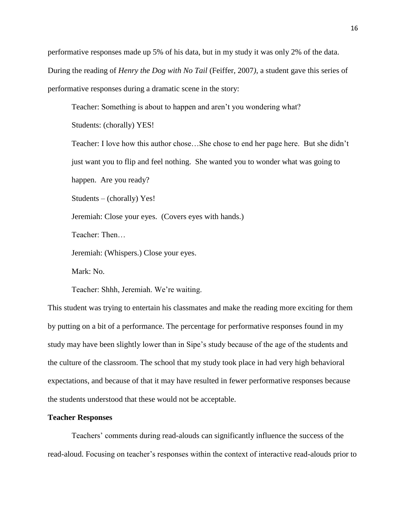performative responses made up 5% of his data, but in my study it was only 2% of the data. During the reading of *Henry the Dog with No Tail* (Feiffer, 2007*)*, a student gave this series of performative responses during a dramatic scene in the story:

Teacher: Something is about to happen and aren't you wondering what?

Students: (chorally) YES!

Teacher: I love how this author chose…She chose to end her page here. But she didn't just want you to flip and feel nothing. She wanted you to wonder what was going to happen. Are you ready?

Students – (chorally) Yes!

Jeremiah: Close your eyes. (Covers eyes with hands.)

Teacher: Then…

Jeremiah: (Whispers.) Close your eyes.

Mark: No.

Teacher: Shhh, Jeremiah. We're waiting.

This student was trying to entertain his classmates and make the reading more exciting for them by putting on a bit of a performance. The percentage for performative responses found in my study may have been slightly lower than in Sipe's study because of the age of the students and the culture of the classroom. The school that my study took place in had very high behavioral expectations, and because of that it may have resulted in fewer performative responses because the students understood that these would not be acceptable.

#### **Teacher Responses**

Teachers' comments during read-alouds can significantly influence the success of the read-aloud. Focusing on teacher's responses within the context of interactive read-alouds prior to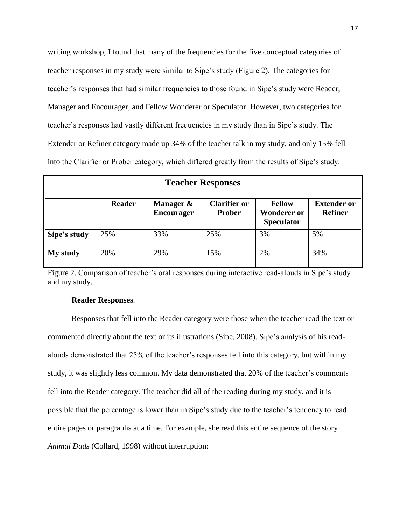writing workshop, I found that many of the frequencies for the five conceptual categories of teacher responses in my study were similar to Sipe's study (Figure 2). The categories for teacher's responses that had similar frequencies to those found in Sipe's study were Reader, Manager and Encourager, and Fellow Wonderer or Speculator. However, two categories for teacher's responses had vastly different frequencies in my study than in Sipe's study. The Extender or Refiner category made up 34% of the teacher talk in my study, and only 15% fell into the Clarifier or Prober category, which differed greatly from the results of Sipe's study.

| <b>Teacher Responses</b> |               |                                |                                      |                                                          |                                      |  |  |  |
|--------------------------|---------------|--------------------------------|--------------------------------------|----------------------------------------------------------|--------------------------------------|--|--|--|
|                          | <b>Reader</b> | Manager &<br><b>Encourager</b> | <b>Clarifier or</b><br><b>Prober</b> | <b>Fellow</b><br><b>Wonderer or</b><br><b>Speculator</b> | <b>Extender or</b><br><b>Refiner</b> |  |  |  |
| Sipe's study             | 25%           | 33%                            | 25%                                  | 3%                                                       | 5%                                   |  |  |  |
| My study                 | 20%           | 29%                            | 15%                                  | 2%                                                       | 34%                                  |  |  |  |

Figure 2. Comparison of teacher's oral responses during interactive read-alouds in Sipe's study and my study.

# **Reader Responses***.*

Responses that fell into the Reader category were those when the teacher read the text or commented directly about the text or its illustrations (Sipe, 2008). Sipe's analysis of his readalouds demonstrated that 25% of the teacher's responses fell into this category, but within my study, it was slightly less common. My data demonstrated that 20% of the teacher's comments fell into the Reader category. The teacher did all of the reading during my study, and it is possible that the percentage is lower than in Sipe's study due to the teacher's tendency to read entire pages or paragraphs at a time. For example, she read this entire sequence of the story *Animal Dads* (Collard, 1998) without interruption: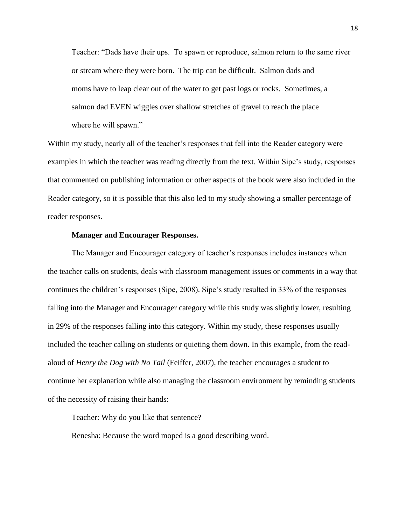Teacher: "Dads have their ups. To spawn or reproduce, salmon return to the same river or stream where they were born. The trip can be difficult. Salmon dads and moms have to leap clear out of the water to get past logs or rocks. Sometimes, a salmon dad EVEN wiggles over shallow stretches of gravel to reach the place where he will spawn."

Within my study, nearly all of the teacher's responses that fell into the Reader category were examples in which the teacher was reading directly from the text. Within Sipe's study, responses that commented on publishing information or other aspects of the book were also included in the Reader category, so it is possible that this also led to my study showing a smaller percentage of reader responses.

# **Manager and Encourager Responses.**

The Manager and Encourager category of teacher's responses includes instances when the teacher calls on students, deals with classroom management issues or comments in a way that continues the children's responses (Sipe, 2008). Sipe's study resulted in 33% of the responses falling into the Manager and Encourager category while this study was slightly lower, resulting in 29% of the responses falling into this category. Within my study, these responses usually included the teacher calling on students or quieting them down. In this example, from the readaloud of *Henry the Dog with No Tail* (Feiffer, 2007), the teacher encourages a student to continue her explanation while also managing the classroom environment by reminding students of the necessity of raising their hands:

Teacher: Why do you like that sentence?

Renesha: Because the word moped is a good describing word.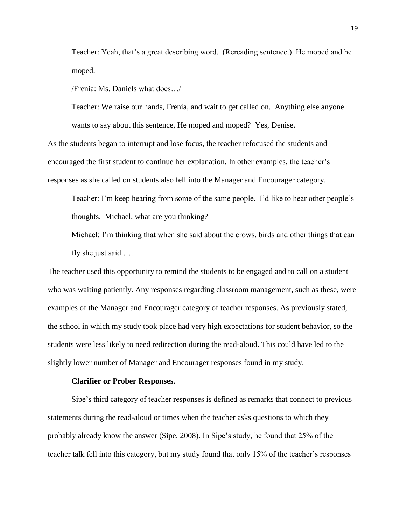Teacher: Yeah, that's a great describing word. (Rereading sentence.) He moped and he moped.

/Frenia: Ms. Daniels what does…/

Teacher: We raise our hands, Frenia, and wait to get called on. Anything else anyone wants to say about this sentence, He moped and moped? Yes, Denise.

As the students began to interrupt and lose focus, the teacher refocused the students and encouraged the first student to continue her explanation. In other examples, the teacher's responses as she called on students also fell into the Manager and Encourager category.

Teacher: I'm keep hearing from some of the same people. I'd like to hear other people's thoughts. Michael, what are you thinking?

Michael: I'm thinking that when she said about the crows, birds and other things that can fly she just said ….

The teacher used this opportunity to remind the students to be engaged and to call on a student who was waiting patiently. Any responses regarding classroom management, such as these, were examples of the Manager and Encourager category of teacher responses. As previously stated, the school in which my study took place had very high expectations for student behavior, so the students were less likely to need redirection during the read-aloud. This could have led to the slightly lower number of Manager and Encourager responses found in my study.

#### **Clarifier or Prober Responses.**

Sipe's third category of teacher responses is defined as remarks that connect to previous statements during the read-aloud or times when the teacher asks questions to which they probably already know the answer (Sipe, 2008). In Sipe's study, he found that 25% of the teacher talk fell into this category, but my study found that only 15% of the teacher's responses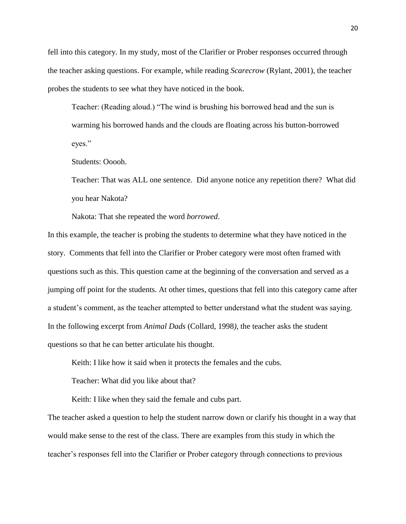fell into this category. In my study, most of the Clarifier or Prober responses occurred through the teacher asking questions. For example, while reading *Scarecrow* (Rylant, 2001), the teacher probes the students to see what they have noticed in the book.

Teacher: (Reading aloud.) "The wind is brushing his borrowed head and the sun is warming his borrowed hands and the clouds are floating across his button-borrowed eyes."

Students: Ooooh.

Teacher: That was ALL one sentence. Did anyone notice any repetition there? What did you hear Nakota?

Nakota: That she repeated the word *borrowed*.

In this example, the teacher is probing the students to determine what they have noticed in the story. Comments that fell into the Clarifier or Prober category were most often framed with questions such as this. This question came at the beginning of the conversation and served as a jumping off point for the students. At other times, questions that fell into this category came after a student's comment, as the teacher attempted to better understand what the student was saying. In the following excerpt from *Animal Dads* (Collard, 1998*)*, the teacher asks the student questions so that he can better articulate his thought.

Keith: I like how it said when it protects the females and the cubs.

Teacher: What did you like about that?

Keith: I like when they said the female and cubs part.

The teacher asked a question to help the student narrow down or clarify his thought in a way that would make sense to the rest of the class. There are examples from this study in which the teacher's responses fell into the Clarifier or Prober category through connections to previous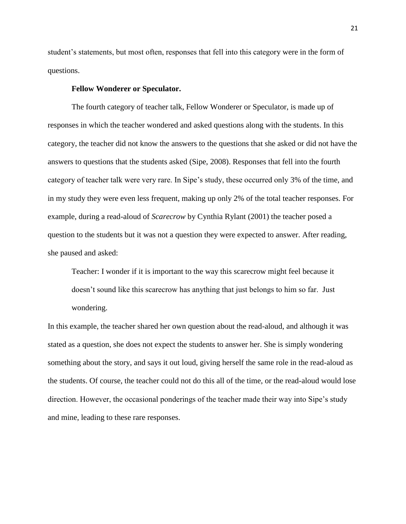student's statements, but most often, responses that fell into this category were in the form of questions.

# **Fellow Wonderer or Speculator.**

The fourth category of teacher talk, Fellow Wonderer or Speculator, is made up of responses in which the teacher wondered and asked questions along with the students. In this category, the teacher did not know the answers to the questions that she asked or did not have the answers to questions that the students asked (Sipe, 2008). Responses that fell into the fourth category of teacher talk were very rare. In Sipe's study, these occurred only 3% of the time, and in my study they were even less frequent, making up only 2% of the total teacher responses. For example, during a read-aloud of *Scarecrow* by Cynthia Rylant (2001) the teacher posed a question to the students but it was not a question they were expected to answer. After reading, she paused and asked:

Teacher: I wonder if it is important to the way this scarecrow might feel because it doesn't sound like this scarecrow has anything that just belongs to him so far. Just wondering.

In this example, the teacher shared her own question about the read-aloud, and although it was stated as a question, she does not expect the students to answer her. She is simply wondering something about the story, and says it out loud, giving herself the same role in the read-aloud as the students. Of course, the teacher could not do this all of the time, or the read-aloud would lose direction. However, the occasional ponderings of the teacher made their way into Sipe's study and mine, leading to these rare responses.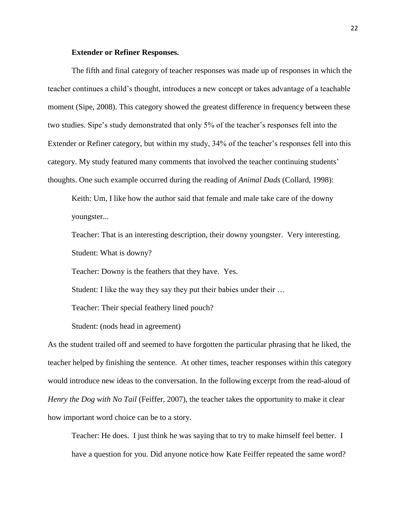# **Extender or Refiner Responses.**

The fifth and final category of teacher responses was made up of responses in which the teacher continues a child's thought, introduces a new concept or takes advantage of a teachable moment (Sipe, 2008). This category showed the greatest difference in frequency between these two studies. Sipe's study demonstrated that only 5% of the teacher's responses fell into the Extender or Refiner category, but within my study, 34% of the teacher's responses fell into this category. My study featured many comments that involved the teacher continuing students' thoughts. One such example occurred during the reading of *Animal Dads* (Collard, 1998):

Keith: Um, I like how the author said that female and male take care of the downy youngster...

Teacher: That is an interesting description, their downy youngster. Very interesting. Student: What is downy?

Teacher: Downy is the feathers that they have. Yes.

Student: I like the way they say they put their babies under their …

Teacher: Their special feathery lined pouch?

Student: (nods head in agreement)

As the student trailed off and seemed to have forgotten the particular phrasing that he liked, the teacher helped by finishing the sentence. At other times, teacher responses within this category would introduce new ideas to the conversation. In the following excerpt from the read-aloud of *Henry the Dog with No Tail* (Feiffer, 2007), the teacher takes the opportunity to make it clear how important word choice can be to a story.

Teacher: He does. I just think he was saying that to try to make himself feel better. I have a question for you. Did anyone notice how Kate Feiffer repeated the same word?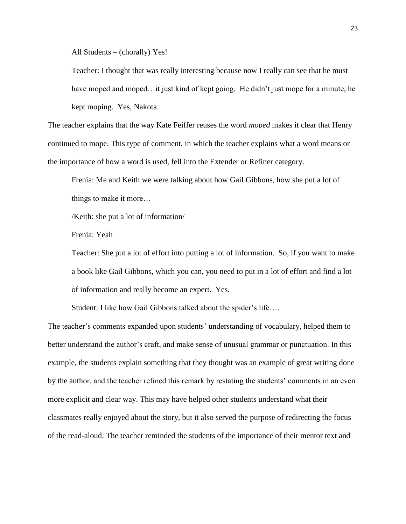All Students – (chorally) Yes!

Teacher: I thought that was really interesting because now I really can see that he must have moped and moped…it just kind of kept going. He didn't just mope for a minute, he kept moping. Yes, Nakota.

The teacher explains that the way Kate Feiffer reuses the word *moped* makes it clear that Henry continued to mope. This type of comment, in which the teacher explains what a word means or the importance of how a word is used, fell into the Extender or Refiner category.

Frenia: Me and Keith we were talking about how Gail Gibbons, how she put a lot of things to make it more…

/Keith: she put a lot of information/

Frenia: Yeah

Teacher: She put a lot of effort into putting a lot of information. So, if you want to make a book like Gail Gibbons, which you can, you need to put in a lot of effort and find a lot of information and really become an expert. Yes.

Student: I like how Gail Gibbons talked about the spider's life….

The teacher's comments expanded upon students' understanding of vocabulary, helped them to better understand the author's craft, and make sense of unusual grammar or punctuation. In this example, the students explain something that they thought was an example of great writing done by the author, and the teacher refined this remark by restating the students' comments in an even more explicit and clear way. This may have helped other students understand what their classmates really enjoyed about the story, but it also served the purpose of redirecting the focus of the read-aloud. The teacher reminded the students of the importance of their mentor text and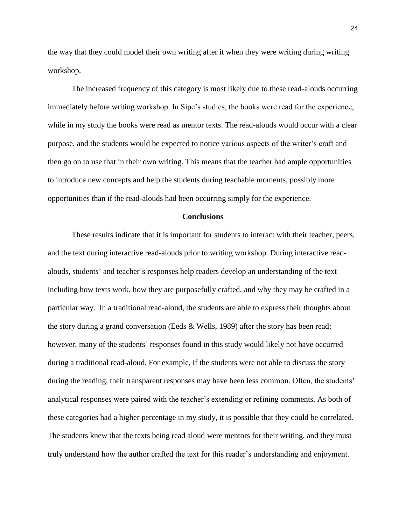the way that they could model their own writing after it when they were writing during writing workshop.

The increased frequency of this category is most likely due to these read-alouds occurring immediately before writing workshop. In Sipe's studies, the books were read for the experience, while in my study the books were read as mentor texts. The read-alouds would occur with a clear purpose, and the students would be expected to notice various aspects of the writer's craft and then go on to use that in their own writing. This means that the teacher had ample opportunities to introduce new concepts and help the students during teachable moments, possibly more opportunities than if the read-alouds had been occurring simply for the experience.

## **Conclusions**

These results indicate that it is important for students to interact with their teacher, peers, and the text during interactive read-alouds prior to writing workshop. During interactive readalouds, students' and teacher's responses help readers develop an understanding of the text including how texts work, how they are purposefully crafted, and why they may be crafted in a particular way. In a traditional read-aloud, the students are able to express their thoughts about the story during a grand conversation (Eeds & Wells, 1989) after the story has been read; however, many of the students' responses found in this study would likely not have occurred during a traditional read-aloud. For example, if the students were not able to discuss the story during the reading, their transparent responses may have been less common. Often, the students' analytical responses were paired with the teacher's extending or refining comments. As both of these categories had a higher percentage in my study, it is possible that they could be correlated. The students knew that the texts being read aloud were mentors for their writing, and they must truly understand how the author crafted the text for this reader's understanding and enjoyment.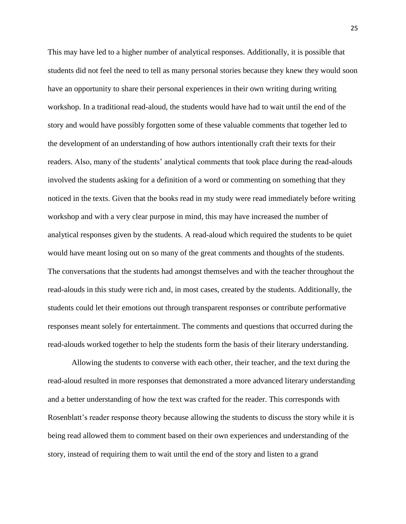This may have led to a higher number of analytical responses. Additionally, it is possible that students did not feel the need to tell as many personal stories because they knew they would soon have an opportunity to share their personal experiences in their own writing during writing workshop. In a traditional read-aloud, the students would have had to wait until the end of the story and would have possibly forgotten some of these valuable comments that together led to the development of an understanding of how authors intentionally craft their texts for their readers. Also, many of the students' analytical comments that took place during the read-alouds involved the students asking for a definition of a word or commenting on something that they noticed in the texts. Given that the books read in my study were read immediately before writing workshop and with a very clear purpose in mind, this may have increased the number of analytical responses given by the students. A read-aloud which required the students to be quiet would have meant losing out on so many of the great comments and thoughts of the students. The conversations that the students had amongst themselves and with the teacher throughout the read-alouds in this study were rich and, in most cases, created by the students. Additionally, the students could let their emotions out through transparent responses or contribute performative responses meant solely for entertainment. The comments and questions that occurred during the read-alouds worked together to help the students form the basis of their literary understanding.

Allowing the students to converse with each other, their teacher, and the text during the read-aloud resulted in more responses that demonstrated a more advanced literary understanding and a better understanding of how the text was crafted for the reader. This corresponds with Rosenblatt's reader response theory because allowing the students to discuss the story while it is being read allowed them to comment based on their own experiences and understanding of the story, instead of requiring them to wait until the end of the story and listen to a grand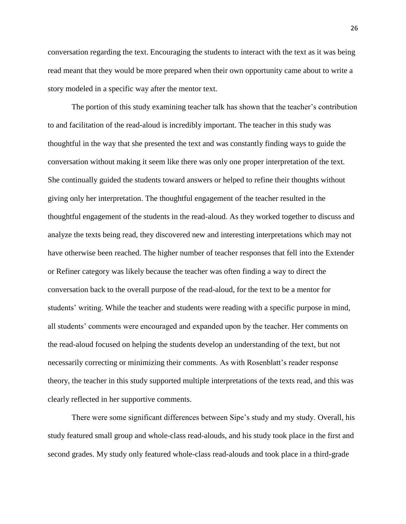conversation regarding the text. Encouraging the students to interact with the text as it was being read meant that they would be more prepared when their own opportunity came about to write a story modeled in a specific way after the mentor text.

The portion of this study examining teacher talk has shown that the teacher's contribution to and facilitation of the read-aloud is incredibly important. The teacher in this study was thoughtful in the way that she presented the text and was constantly finding ways to guide the conversation without making it seem like there was only one proper interpretation of the text. She continually guided the students toward answers or helped to refine their thoughts without giving only her interpretation. The thoughtful engagement of the teacher resulted in the thoughtful engagement of the students in the read-aloud. As they worked together to discuss and analyze the texts being read, they discovered new and interesting interpretations which may not have otherwise been reached. The higher number of teacher responses that fell into the Extender or Refiner category was likely because the teacher was often finding a way to direct the conversation back to the overall purpose of the read-aloud, for the text to be a mentor for students' writing. While the teacher and students were reading with a specific purpose in mind, all students' comments were encouraged and expanded upon by the teacher. Her comments on the read-aloud focused on helping the students develop an understanding of the text, but not necessarily correcting or minimizing their comments. As with Rosenblatt's reader response theory, the teacher in this study supported multiple interpretations of the texts read, and this was clearly reflected in her supportive comments.

There were some significant differences between Sipe's study and my study. Overall, his study featured small group and whole-class read-alouds, and his study took place in the first and second grades. My study only featured whole-class read-alouds and took place in a third-grade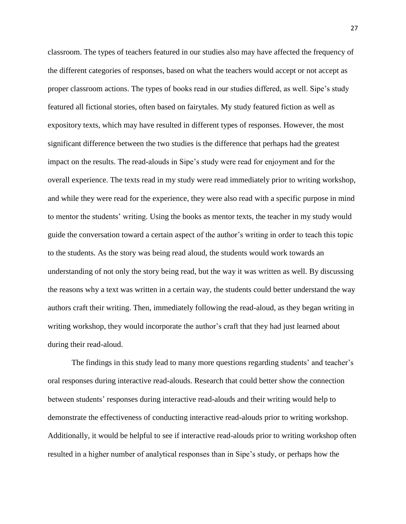classroom. The types of teachers featured in our studies also may have affected the frequency of the different categories of responses, based on what the teachers would accept or not accept as proper classroom actions. The types of books read in our studies differed, as well. Sipe's study featured all fictional stories, often based on fairytales. My study featured fiction as well as expository texts, which may have resulted in different types of responses. However, the most significant difference between the two studies is the difference that perhaps had the greatest impact on the results. The read-alouds in Sipe's study were read for enjoyment and for the overall experience. The texts read in my study were read immediately prior to writing workshop, and while they were read for the experience, they were also read with a specific purpose in mind to mentor the students' writing. Using the books as mentor texts, the teacher in my study would guide the conversation toward a certain aspect of the author's writing in order to teach this topic to the students. As the story was being read aloud, the students would work towards an understanding of not only the story being read, but the way it was written as well. By discussing the reasons why a text was written in a certain way, the students could better understand the way authors craft their writing. Then, immediately following the read-aloud, as they began writing in writing workshop, they would incorporate the author's craft that they had just learned about during their read-aloud.

The findings in this study lead to many more questions regarding students' and teacher's oral responses during interactive read-alouds. Research that could better show the connection between students' responses during interactive read-alouds and their writing would help to demonstrate the effectiveness of conducting interactive read-alouds prior to writing workshop. Additionally, it would be helpful to see if interactive read-alouds prior to writing workshop often resulted in a higher number of analytical responses than in Sipe's study, or perhaps how the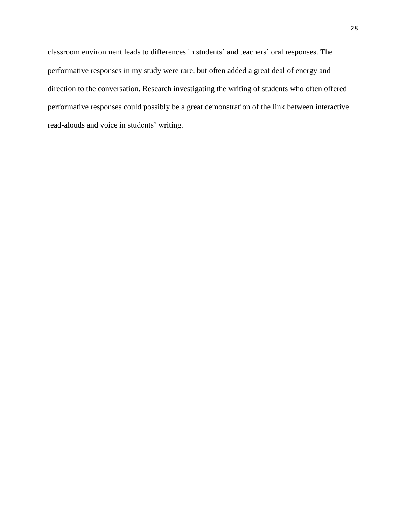classroom environment leads to differences in students' and teachers' oral responses. The performative responses in my study were rare, but often added a great deal of energy and direction to the conversation. Research investigating the writing of students who often offered performative responses could possibly be a great demonstration of the link between interactive read-alouds and voice in students' writing.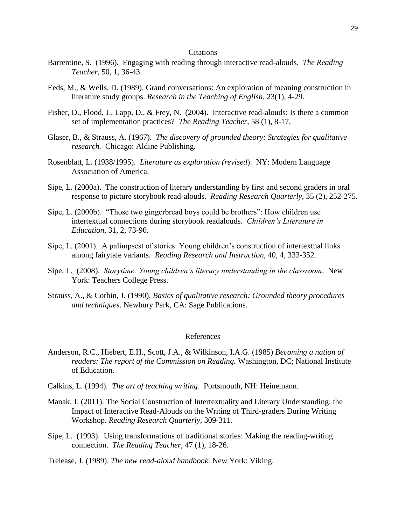## **Citations**

- Barrentine, S. (1996). Engaging with reading through interactive read-alouds. *The Reading Teacher*, 50, 1, 36-43.
- Eeds, M., & Wells, D. (1989). Grand conversations: An exploration of meaning construction in literature study groups. *Research in the Teaching of English*, 23(1), 4-29.
- Fisher, D., Flood, J., Lapp, D., & Frey, N. (2004). Interactive read-alouds: Is there a common set of implementation practices? *The Reading Teacher,* 58 (1), 8-17.
- Glaser, B., & Strauss, A. (1967). *The discovery of grounded theory: Strategies for qualitative research.* Chicago: Aldine Publishing.
- Rosenblatt, L. (1938/1995). *Literature as exploration (revised*). NY: Modern Language Association of America.
- Sipe, L. (2000a). The construction of literary understanding by first and second graders in oral response to picture storybook read-alouds. *Reading Research Quarterly*, 35 (2), 252-275.
- Sipe, L. (2000b). "Those two gingerbread boys could be brothers": How children use intertextual connections during storybook readalouds. *Children's Literature in Education*, 31, 2, 73-90.
- Sipe, L. (2001). A palimpsest of stories: Young children's construction of intertextual links among fairytale variants. *Reading Research and Instruction*, 40, 4, 333-352.
- Sipe, L. (2008). *Storytime: Young children's literary understanding in the classroom*. New York: Teachers College Press.
- Strauss, A., & Corbin, J. (1990). *Basics of qualitative research: Grounded theory procedures and techniques*. Newbury Park, CA: Sage Publications.

# References

- Anderson, R.C., Hiebert, E.H., Scott, J.A., & Wilkinson, I.A.G. (1985) *Becoming a nation of readers: The report of the Commission on Reading.* Washington, DC; National Institute of Education.
- Calkins, L. (1994). *The art of teaching writing*. Portsmouth, NH: Heinemann.
- Manak, J. (2011). The Social Construction of Intertextuality and Literary Understanding: the Impact of Interactive Read-Alouds on the Writing of Third-graders During Writing Workshop. *Reading Research Quarterly*, 309-311.
- Sipe, L. (1993). Using transformations of traditional stories: Making the reading-writing connection. *The Reading Teacher,* 47 (1), 18-26.
- Trelease, J. (1989). *The new read-aloud handbook.* New York: Viking.